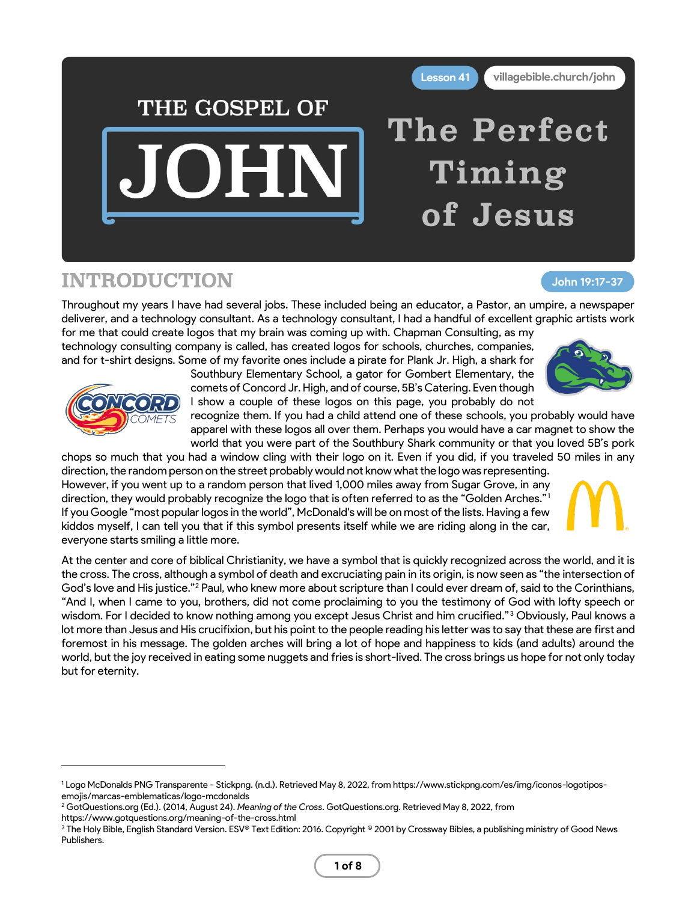

## INTRODUCTION

## **John 19:17-37**

Throughout my years I have had several jobs. These included being an educator, a Pastor, an umpire, a newspaper deliverer, and a technology consultant. As a technology consultant, I had a handful of excellent graphic artists work

for me that could create logos that my brain was coming up with. Chapman Consulting, as my technology consulting company is called, has created logos for schools, churches, companies, and for t-shirt designs. Some of my favorite ones include a pirate for Plank Jr. High, a shark for

Southbury Elementary School, a gator for Gombert Elementary, the comets of Concord Jr. High, and of course, 5B's Catering. Even though I show a couple of these logos on this page, you probably do not

recognize them. If you had a child attend one of these schools, you probably would have apparel with these logos all over them. Perhaps you would have a car magnet to show the world that you were part of the Southbury Shark community or that you loved 5B's pork

chops so much that you had a window cling with their logo on it. Even if you did, if you traveled 50 miles in any direction, the random person on the street probably would not know what the logo was representing. However, if you went up to a random person that lived 1,000 miles away from Sugar Grove, in any direction, they would probably recognize the logo that is often referred to as the "Golden Arches."<sup>1</sup> If you Google "most popular logos in the world", McDonald's will be on most of the lists. Having a few kiddos myself, I can tell you that if this symbol presents itself while we are riding along in the car, everyone starts smiling a little more.

At the center and core of biblical Christianity, we have a symbol that is quickly recognized across the world, and it is the cross. The cross, although a symbol of death and excruciating pain in its origin, is now seen as "the intersection of God's love and His justice."<sup>2</sup> Paul, who knew more about scripture than I could ever dream of, said to the Corinthians, "And I, when I came to you, brothers, did not come proclaiming to you the testimony of God with lofty speech or wisdom. For I decided to know nothing among you except Jesus Christ and him crucified."<sup>3</sup> Obviously, Paul knows a lot more than Jesus and His crucifixion, but his point to the people reading his letter was to say that these are first and foremost in his message. The golden arches will bring a lot of hope and happiness to kids (and adults) around the world, but the joy received in eating some nuggets and fries is short-lived. The cross brings us hope for not only today but for eternity.





<sup>1</sup> Logo McDonalds PNG Transparente - Stickpng. (n.d.). Retrieved May 8, 2022, from https://www.stickpng.com/es/img/iconos-logotiposemojis/marcas-emblematicas/logo-mcdonalds

<sup>2</sup> GotQuestions.org (Ed.). (2014, August 24). *Meaning of the Cross*. GotQuestions.org. Retrieved May 8, 2022, from

https://www.gotquestions.org/meaning-of-the-cross.html

<sup>&</sup>lt;sup>3</sup> The Holy Bible, English Standard Version. ESV® Text Edition: 2016. Copyright <sup>®</sup> 2001 by Crossway Bibles, a publishing ministry of Good News Publishers.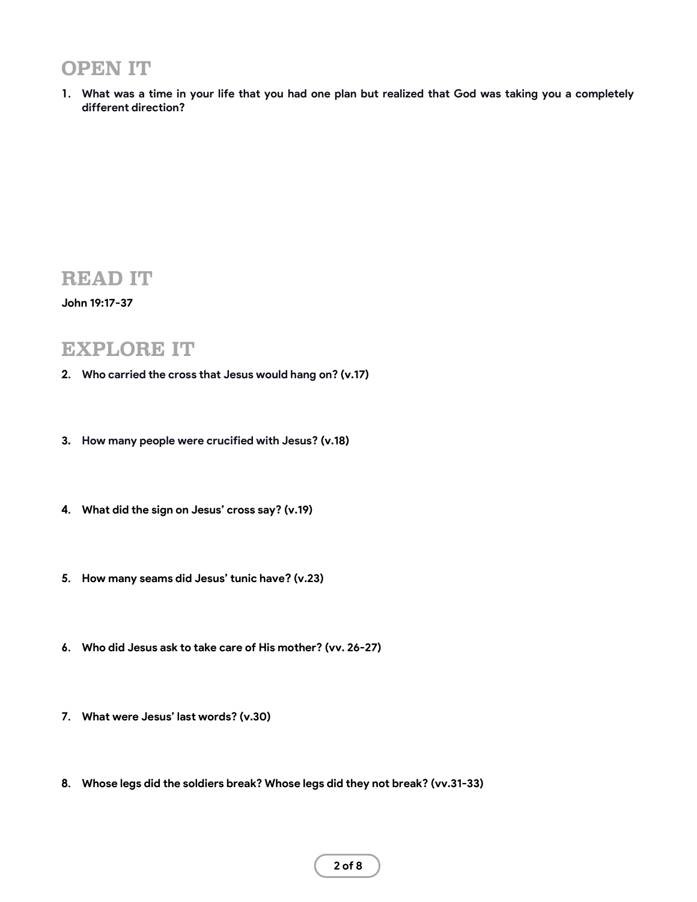# OPEN IT

**1. What was a time in your life that you had one plan but realized that God was taking you a completely different direction?**

## READ IT

### **John 19:17-37**

## EXPLORE IT

- **2. Who carried the cross that Jesus would hang on? (v.17)**
- **3. How many people were crucified with Jesus? (v.18)**
- **4. What did the sign on Jesus' cross say? (v.19)**
- **5. How many seams did Jesus' tunic have? (v.23)**
- **6. Who did Jesus ask to take care of His mother? (vv. 26-27)**
- **7. What were Jesus' last words? (v.30)**
- **8. Whose legs did the soldiers break? Whose legs did they not break? (vv.31-33)**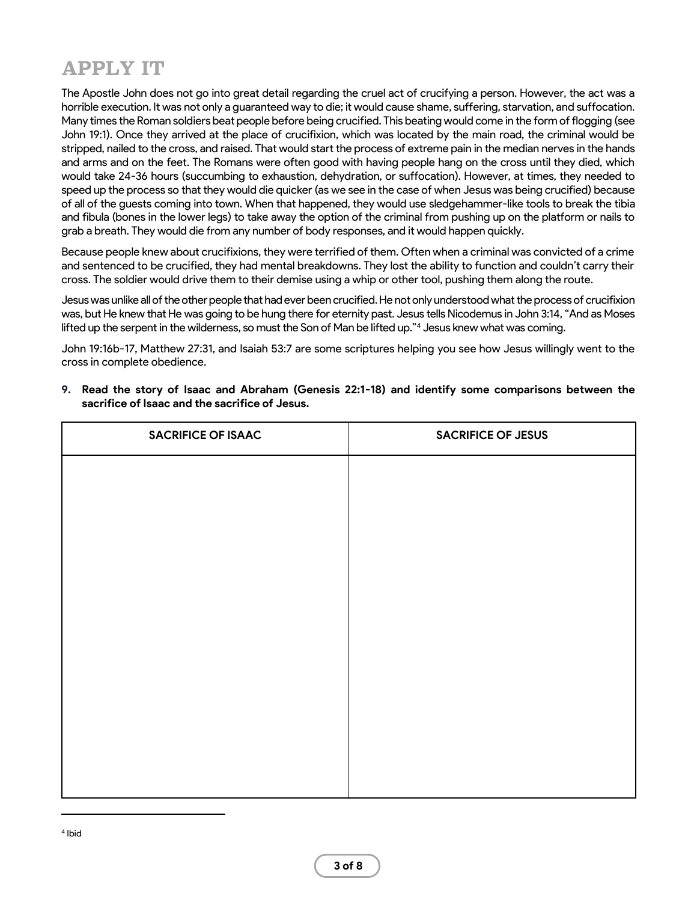# APPLY IT

The Apostle John does not go into great detail regarding the cruel act of crucifying a person. However, the act was a horrible execution. It was not only a guaranteed way to die; it would cause shame, suffering, starvation, and suffocation. Many times the Roman soldiers beat people before being crucified. This beating would come in the form of flogging (see John 19:1). Once they arrived at the place of crucifixion, which was located by the main road, the criminal would be stripped, nailed to the cross, and raised. That would start the process of extreme pain in the median nerves in the hands and arms and on the feet. The Romans were often good with having people hang on the cross until they died, which would take 24-36 hours (succumbing to exhaustion, dehydration, or suffocation). However, at times, they needed to speed up the process so that they would die quicker (as we see in the case of when Jesus was being crucified) because of all of the guests coming into town. When that happened, they would use sledgehammer-like tools to break the tibia and fibula (bones in the lower legs) to take away the option of the criminal from pushing up on the platform or nails to grab a breath. They would die from any number of body responses, and it would happen quickly.

Because people knew about crucifixions, they were terrified of them. Often when a criminal was convicted of a crime and sentenced to be crucified, they had mental breakdowns. They lost the ability to function and couldn't carry their cross. The soldier would drive them to their demise using a whip or other tool, pushing them along the route.

Jesus was unlike all of the other people that had ever been crucified. He not only understood what the process of crucifixion was, but He knew that He was going to be hung there for eternity past. Jesus tells Nicodemus in John 3:14, "And as Moses lifted up the serpent in the wilderness, so must the Son of Man be lifted up."<sup>4</sup> Jesus knew what was coming.

John 19:16b-17, Matthew 27:31, and Isaiah 53:7 are some scriptures helping you see how Jesus willingly went to the cross in complete obedience.

**9. Read the story of Isaac and Abraham (Genesis 22:1-18) and identify some comparisons between the sacrifice of Isaac and the sacrifice of Jesus.**

| <b>SACRIFICE OF ISAAC</b> | <b>SACRIFICE OF JESUS</b> |
|---------------------------|---------------------------|
|                           |                           |
|                           |                           |
|                           |                           |
|                           |                           |
|                           |                           |
|                           |                           |
|                           |                           |
|                           |                           |
|                           |                           |
|                           |                           |
|                           |                           |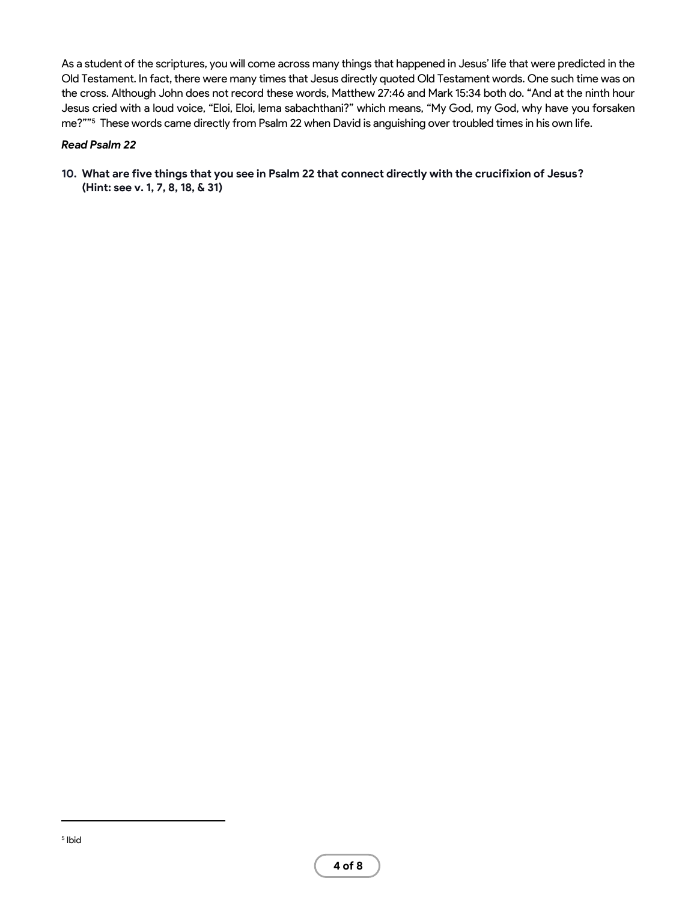As a student of the scriptures, you will come across many things that happened in Jesus' life that were predicted in the Old Testament. In fact, there were many times that Jesus directly quoted Old Testament words. One such time was on the cross. Although John does not record these words, Matthew 27:46 and Mark 15:34 both do. "And at the ninth hour Jesus cried with a loud voice, "Eloi, Eloi, lema sabachthani?" which means, "My God, my God, why have you forsaken me?"" 5 These words came directly from Psalm 22 when David is anguishing over troubled times in his own life.

### *Read Psalm 22*

**10. What are five things that you see in Psalm 22 that connect directly with the crucifixion of Jesus? (Hint: see v. 1, 7, 8, 18, & 31)**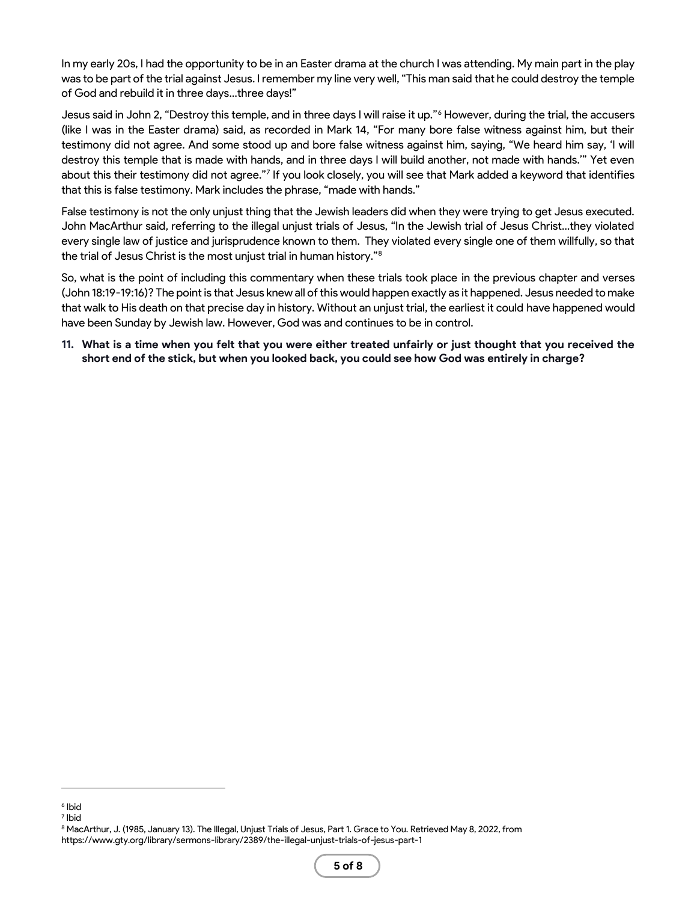In my early 20s, I had the opportunity to be in an Easter drama at the church I was attending. My main part in the play was to be part of the trial against Jesus. I remember my line very well, "This man said that he could destroy the temple of God and rebuild it in three days…three days!"

Jesus said in John 2, "Destroy this temple, and in three days I will raise it up."<sup>6</sup> However, during the trial, the accusers (like I was in the Easter drama) said, as recorded in Mark 14, "For many bore false witness against him, but their testimony did not agree. And some stood up and bore false witness against him, saying, "We heard him say, 'I will destroy this temple that is made with hands, and in three days I will build another, not made with hands.'" Yet even about this their testimony did not agree."<sup>7</sup> If you look closely, you will see that Mark added a keyword that identifies that this is false testimony. Mark includes the phrase, "made with hands."

False testimony is not the only unjust thing that the Jewish leaders did when they were trying to get Jesus executed. John MacArthur said, referring to the illegal unjust trials of Jesus, "In the Jewish trial of Jesus Christ…they violated every single law of justice and jurisprudence known to them. They violated every single one of them willfully, so that the trial of Jesus Christ is the most unjust trial in human history."<sup>8</sup>

So, what is the point of including this commentary when these trials took place in the previous chapter and verses (John 18:19-19:16)? The point is that Jesus knew all of this would happen exactly as it happened. Jesus needed to make that walk to His death on that precise day in history. Without an unjust trial, the earliest it could have happened would have been Sunday by Jewish law. However, God was and continues to be in control.

**11. What is a time when you felt that you were either treated unfairly or just thought that you received the short end of the stick, but when you looked back, you could see how God was entirely in charge?**

<sup>6</sup> Ibid

<sup>7</sup> Ibid

<sup>8</sup> MacArthur, J. (1985, January 13). The Illegal, Unjust Trials of Jesus, Part 1. Grace to You. Retrieved May 8, 2022, from https://www.gty.org/library/sermons-library/2389/the-illegal-unjust-trials-of-jesus-part-1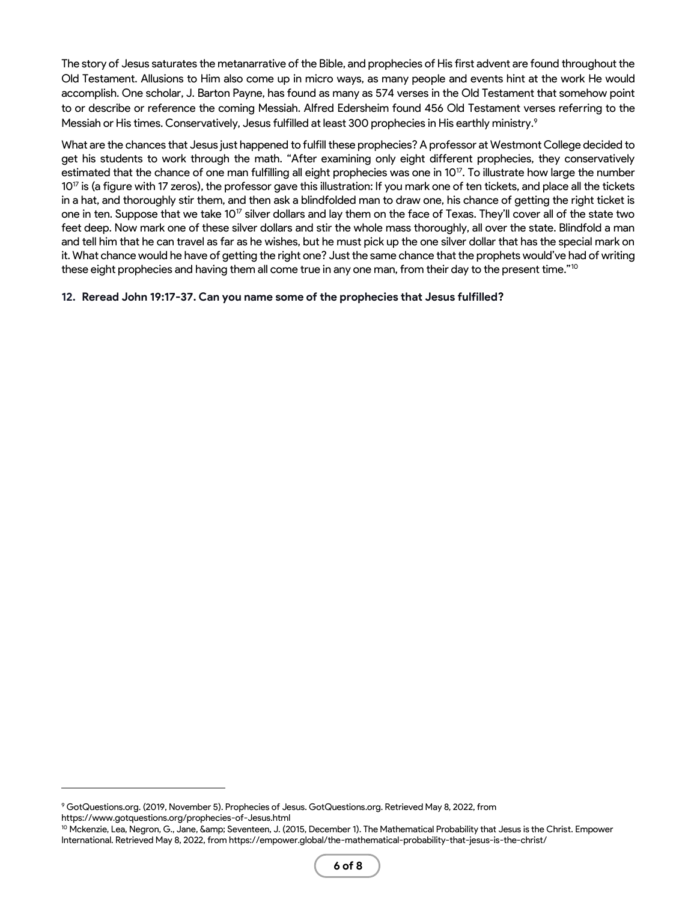The story of Jesus saturates the metanarrative of the Bible, and prophecies of His first advent are found throughout the Old Testament. Allusions to Him also come up in micro ways, as many people and events hint at the work He would accomplish. One scholar, J. Barton Payne, has found as many as 574 verses in the Old Testament that somehow point to or describe or reference the coming Messiah. Alfred Edersheim found 456 Old Testament verses referring to the Messiah or His times. Conservatively, Jesus fulfilled at least 300 prophecies in His earthly ministry.<sup>9</sup>

What are the chances that Jesus just happened to fulfill these prophecies? A professor at Westmont College decided to get his students to work through the math. "After examining only eight different prophecies, they conservatively estimated that the chance of one man fulfilling all eight prophecies was one in 10<sup>17</sup>. To illustrate how large the number 10<sup>17</sup> is (a figure with 17 zeros), the professor gave this illustration: If you mark one of ten tickets, and place all the tickets in a hat, and thoroughly stir them, and then ask a blindfolded man to draw one, his chance of getting the right ticket is one in ten. Suppose that we take 10<sup>17</sup> silver dollars and lay them on the face of Texas. They'll cover all of the state two feet deep. Now mark one of these silver dollars and stir the whole mass thoroughly, all over the state. Blindfold a man and tell him that he can travel as far as he wishes, but he must pick up the one silver dollar that has the special mark on it. What chance would he have of getting the right one? Just the same chance that the prophets would've had of writing these eight prophecies and having them all come true in any one man, from their day to the present time."<sup>10</sup>

### **12. Reread John 19:17-37. Can you name some of the prophecies that Jesus fulfilled?**

<sup>9</sup> GotQuestions.org. (2019, November 5). Prophecies of Jesus. GotQuestions.org. Retrieved May 8, 2022, from https://www.gotquestions.org/prophecies-of-Jesus.html

<sup>&</sup>lt;sup>10</sup> Mckenzie, Lea, Negron, G., Jane, &amp; Seventeen, J. (2015, December 1). The Mathematical Probability that Jesus is the Christ. Empower International. Retrieved May 8, 2022, from https://empower.global/the-mathematical-probability-that-jesus-is-the-christ/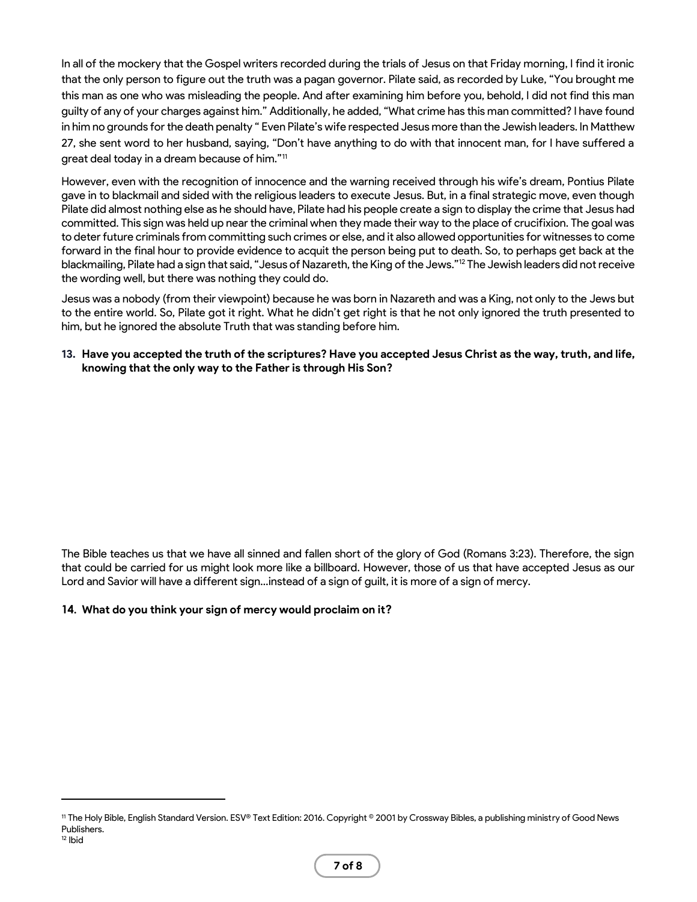In all of the mockery that the Gospel writers recorded during the trials of Jesus on that Friday morning, I find it ironic that the only person to figure out the truth was a pagan governor. Pilate said, as recorded by Luke, "You brought me this man as one who was misleading the people. And after examining him before you, behold, I did not find this man guilty of any of your charges against him." Additionally, he added, "What crime has this man committed? I have found in him no grounds for the death penalty " Even Pilate's wife respected Jesus more than the Jewish leaders. In Matthew 27, she sent word to her husband, saying, "Don't have anything to do with that innocent man, for I have suffered a great deal today in a dream because of him."<sup>11</sup>

However, even with the recognition of innocence and the warning received through his wife's dream, Pontius Pilate gave in to blackmail and sided with the religious leaders to execute Jesus. But, in a final strategic move, even though Pilate did almost nothing else as he should have, Pilate had his people create a sign to display the crime that Jesus had committed. This sign was held up near the criminal when they made their way to the place of crucifixion. The goal was to deter future criminals from committing such crimes or else, and it also allowed opportunities for witnesses to come forward in the final hour to provide evidence to acquit the person being put to death. So, to perhaps get back at the blackmailing, Pilate had a sign that said, "Jesus of Nazareth, the King of the Jews."<sup>12</sup> The Jewish leaders did not receive the wording well, but there was nothing they could do.

Jesus was a nobody (from their viewpoint) because he was born in Nazareth and was a King, not only to the Jews but to the entire world. So, Pilate got it right. What he didn't get right is that he not only ignored the truth presented to him, but he ignored the absolute Truth that was standing before him.

### **13. Have you accepted the truth of the scriptures? Have you accepted Jesus Christ as the way, truth, and life, knowing that the only way to the Father is through His Son?**

The Bible teaches us that we have all sinned and fallen short of the glory of God (Romans 3:23). Therefore, the sign that could be carried for us might look more like a billboard. However, those of us that have accepted Jesus as our Lord and Savior will have a different sign…instead of a sign of guilt, it is more of a sign of mercy.

#### **14. What do you think your sign of mercy would proclaim on it?**

<sup>11</sup> The Holy Bible, English Standard Version. ESV® Text Edition: 2016. Copyright © 2001 by Crossway Bibles, a publishing ministry of Good News Publishers.  $12$  Ibid